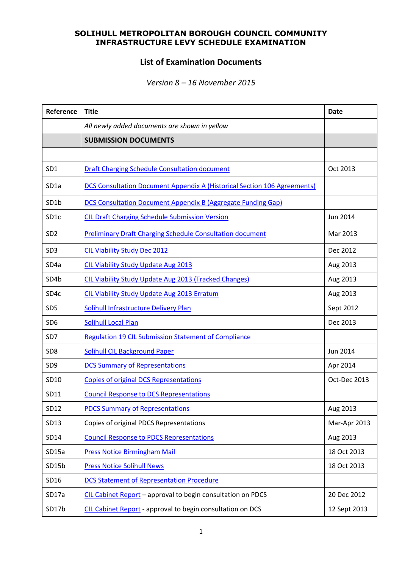## **SOLIHULL METROPOLITAN BOROUGH COUNCIL COMMUNITY INFRASTRUCTURE LEVY SCHEDULE EXAMINATION**

## **List of Examination Documents**

## *Version 8 – 16 November 2015*

| Reference         | <b>Title</b>                                                                    | <b>Date</b>  |
|-------------------|---------------------------------------------------------------------------------|--------------|
|                   | All newly added documents are shown in yellow                                   |              |
|                   | <b>SUBMISSION DOCUMENTS</b>                                                     |              |
|                   |                                                                                 |              |
| SD <sub>1</sub>   | <b>Draft Charging Schedule Consultation document</b>                            | Oct 2013     |
| SD <sub>1a</sub>  | <b>DCS Consultation Document Appendix A (Historical Section 106 Agreements)</b> |              |
| SD1b              | <b>DCS Consultation Document Appendix B (Aggregate Funding Gap)</b>             |              |
| SD1c              | <b>CIL Draft Charging Schedule Submission Version</b>                           | Jun 2014     |
| SD <sub>2</sub>   | <b>Preliminary Draft Charging Schedule Consultation document</b>                | Mar 2013     |
| SD <sub>3</sub>   | <b>CIL Viability Study Dec 2012</b>                                             | Dec 2012     |
| SD4a              | <b>CIL Viability Study Update Aug 2013</b>                                      | Aug 2013     |
| SD <sub>4</sub> b | <b>CIL Viability Study Update Aug 2013 (Tracked Changes)</b>                    | Aug 2013     |
| SD4c              | <b>CIL Viability Study Update Aug 2013 Erratum</b>                              | Aug 2013     |
| SD <sub>5</sub>   | Solihull Infrastructure Delivery Plan                                           | Sept 2012    |
| SD <sub>6</sub>   | <b>Solihull Local Plan</b>                                                      | Dec 2013     |
| SD7               | <b>Regulation 19 CIL Submission Statement of Compliance</b>                     |              |
| SD <sub>8</sub>   | <b>Solihull CIL Background Paper</b>                                            | Jun 2014     |
| SD <sub>9</sub>   | <b>DCS Summary of Representations</b>                                           | Apr 2014     |
| SD10              | <b>Copies of original DCS Representations</b>                                   | Oct-Dec 2013 |
| SD11              | <b>Council Response to DCS Representations</b>                                  |              |
| SD12              | <b>PDCS Summary of Representations</b>                                          | Aug 2013     |
| SD13              | Copies of original PDCS Representations                                         | Mar-Apr 2013 |
| SD14              | <b>Council Response to PDCS Representations</b>                                 | Aug 2013     |
| SD15a             | <b>Press Notice Birmingham Mail</b>                                             | 18 Oct 2013  |
| SD15b             | <b>Press Notice Solihull News</b>                                               | 18 Oct 2013  |
| SD16              | <b>DCS Statement of Representation Procedure</b>                                |              |
| SD17a             | CIL Cabinet Report - approval to begin consultation on PDCS                     | 20 Dec 2012  |
| SD17b             | CIL Cabinet Report - approval to begin consultation on DCS                      | 12 Sept 2013 |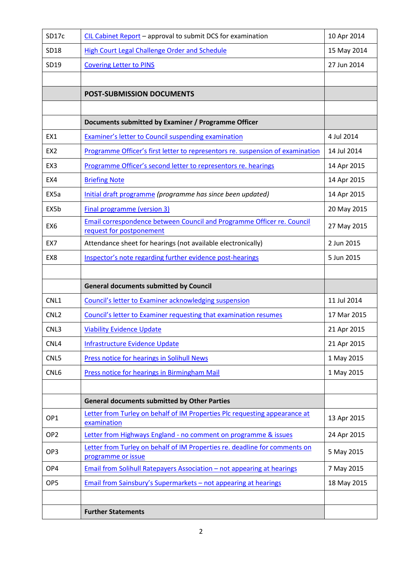| SD17c            | CIL Cabinet Report - approval to submit DCS for examination                                               | 10 Apr 2014 |
|------------------|-----------------------------------------------------------------------------------------------------------|-------------|
| SD18             | <b>High Court Legal Challenge Order and Schedule</b>                                                      | 15 May 2014 |
| SD19             | <b>Covering Letter to PINS</b>                                                                            | 27 Jun 2014 |
|                  |                                                                                                           |             |
|                  | <b>POST-SUBMISSION DOCUMENTS</b>                                                                          |             |
|                  |                                                                                                           |             |
|                  | Documents submitted by Examiner / Programme Officer                                                       |             |
| EX1              | <b>Examiner's letter to Council suspending examination</b>                                                | 4 Jul 2014  |
| EX <sub>2</sub>  | Programme Officer's first letter to representors re. suspension of examination                            | 14 Jul 2014 |
| EX3              | Programme Officer's second letter to representors re. hearings                                            | 14 Apr 2015 |
| EX4              | <b>Briefing Note</b>                                                                                      | 14 Apr 2015 |
| EX5a             | Initial draft programme (programme has since been updated)                                                | 14 Apr 2015 |
| EX5b             | Final programme (version 3)                                                                               | 20 May 2015 |
| EX <sub>6</sub>  | <b>Email correspondence between Council and Programme Officer re. Council</b><br>request for postponement | 27 May 2015 |
| EX7              | Attendance sheet for hearings (not available electronically)                                              | 2 Jun 2015  |
| EX <sub>8</sub>  | Inspector's note regarding further evidence post-hearings                                                 | 5 Jun 2015  |
|                  |                                                                                                           |             |
|                  |                                                                                                           |             |
|                  | <b>General documents submitted by Council</b>                                                             |             |
| CNL1             | Council's letter to Examiner acknowledging suspension                                                     | 11 Jul 2014 |
| CNL <sub>2</sub> | Council's letter to Examiner requesting that examination resumes                                          | 17 Mar 2015 |
| CNL3             | <b>Viability Evidence Update</b>                                                                          | 21 Apr 2015 |
| CNL4             | <b>Infrastructure Evidence Update</b>                                                                     | 21 Apr 2015 |
| CNL5             | Press notice for hearings in Solihull News                                                                | 1 May 2015  |
| CNL6             | Press notice for hearings in Birmingham Mail                                                              | 1 May 2015  |
|                  |                                                                                                           |             |
|                  | <b>General documents submitted by Other Parties</b>                                                       |             |
| OP <sub>1</sub>  | Letter from Turley on behalf of IM Properties Plc requesting appearance at<br>examination                 | 13 Apr 2015 |
| OP <sub>2</sub>  | Letter from Highways England - no comment on programme & issues                                           | 24 Apr 2015 |
| OP3              | Letter from Turley on behalf of IM Properties re. deadline for comments on<br>programme or issue          | 5 May 2015  |
| OP4              | <b>Email from Solihull Ratepayers Association - not appearing at hearings</b>                             | 7 May 2015  |
| OP <sub>5</sub>  | <b>Email from Sainsbury's Supermarkets - not appearing at hearings</b>                                    | 18 May 2015 |
|                  |                                                                                                           |             |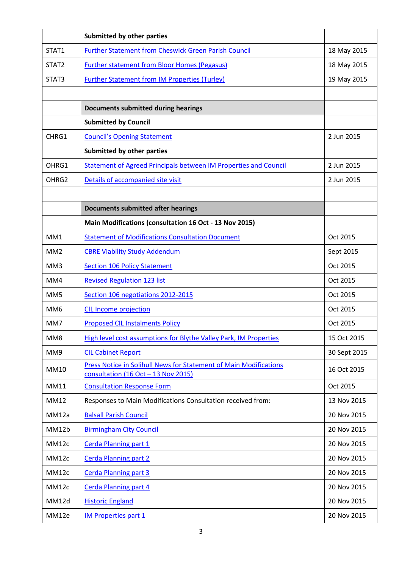|                 | Submitted by other parties                                                                                 |              |
|-----------------|------------------------------------------------------------------------------------------------------------|--------------|
| STAT1           | <b>Further Statement from Cheswick Green Parish Council</b>                                                | 18 May 2015  |
| STAT2           | <b>Further statement from Bloor Homes (Pegasus)</b>                                                        | 18 May 2015  |
| STAT3           | <b>Further Statement from IM Properties (Turley)</b>                                                       | 19 May 2015  |
|                 |                                                                                                            |              |
|                 | <b>Documents submitted during hearings</b>                                                                 |              |
|                 | <b>Submitted by Council</b>                                                                                |              |
| CHRG1           | <b>Council's Opening Statement</b>                                                                         | 2 Jun 2015   |
|                 | Submitted by other parties                                                                                 |              |
| OHRG1           | <b>Statement of Agreed Principals between IM Properties and Council</b>                                    | 2 Jun 2015   |
| OHRG2           | Details of accompanied site visit                                                                          | 2 Jun 2015   |
|                 |                                                                                                            |              |
|                 | <b>Documents submitted after hearings</b>                                                                  |              |
|                 | Main Modifications (consultation 16 Oct - 13 Nov 2015)                                                     |              |
| MM1             | <b>Statement of Modifications Consultation Document</b>                                                    | Oct 2015     |
| MM <sub>2</sub> | <b>CBRE Viability Study Addendum</b>                                                                       | Sept 2015    |
| MM3             | <b>Section 106 Policy Statement</b>                                                                        | Oct 2015     |
| MM4             | <b>Revised Regulation 123 list</b>                                                                         | Oct 2015     |
| MM5             | Section 106 negotiations 2012-2015                                                                         | Oct 2015     |
| MM <sub>6</sub> | <b>CIL Income projection</b>                                                                               | Oct 2015     |
| MM7             | <b>Proposed CIL Instalments Policy</b>                                                                     | Oct 2015     |
| MM8             | High level cost assumptions for Blythe Valley Park, IM Properties                                          | 15 Oct 2015  |
| MM9             | <b>CIL Cabinet Report</b>                                                                                  | 30 Sept 2015 |
| MM10            | Press Notice in Solihull News for Statement of Main Modifications<br>consultation $(16 Oct – 13 Nov 2015)$ | 16 Oct 2015  |
| <b>MM11</b>     | <b>Consultation Response Form</b>                                                                          | Oct 2015     |
| MM12            | Responses to Main Modifications Consultation received from:                                                | 13 Nov 2015  |
| MM12a           | <b>Balsall Parish Council</b>                                                                              | 20 Nov 2015  |
| MM12b           | <b>Birmingham City Council</b>                                                                             | 20 Nov 2015  |
| MM12c           | Cerda Planning part 1                                                                                      | 20 Nov 2015  |
| MM12c           | <b>Cerda Planning part 2</b>                                                                               | 20 Nov 2015  |
| MM12c           | <b>Cerda Planning part 3</b>                                                                               | 20 Nov 2015  |
| MM12c           | Cerda Planning part 4                                                                                      | 20 Nov 2015  |
| MM12d           | <b>Historic England</b>                                                                                    | 20 Nov 2015  |
| MM12e           | <b>IM Properties part 1</b>                                                                                | 20 Nov 2015  |